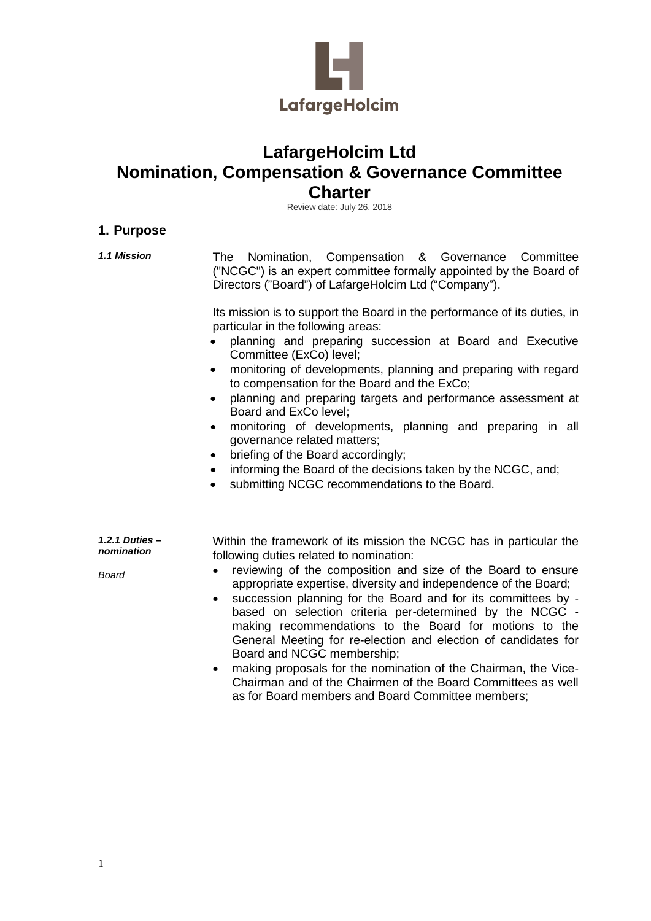

# **LafargeHolcim Ltd Nomination, Compensation & Governance Committee Charter**

Review date: July 26, 2018

## **1. Purpose**

*1.1 Mission* The Nomination, Compensation & Governance Committee ("NCGC") is an expert committee formally appointed by the Board of Directors ("Board") of LafargeHolcim Ltd ("Company").

> Its mission is to support the Board in the performance of its duties, in particular in the following areas:

- planning and preparing succession at Board and Executive Committee (ExCo) level;
- monitoring of developments, planning and preparing with regard to compensation for the Board and the ExCo;
- planning and preparing targets and performance assessment at Board and ExCo level;
- monitoring of developments, planning and preparing in all governance related matters;
- briefing of the Board accordingly;
- informing the Board of the decisions taken by the NCGC, and;
- submitting NCGC recommendations to the Board.

*1.2.1 Duties – nomination*

*Board*

Within the framework of its mission the NCGC has in particular the following duties related to nomination:

- reviewing of the composition and size of the Board to ensure appropriate expertise, diversity and independence of the Board;
- succession planning for the Board and for its committees by based on selection criteria per-determined by the NCGC making recommendations to the Board for motions to the General Meeting for re-election and election of candidates for Board and NCGC membership;
- making proposals for the nomination of the Chairman, the Vice-Chairman and of the Chairmen of the Board Committees as well as for Board members and Board Committee members;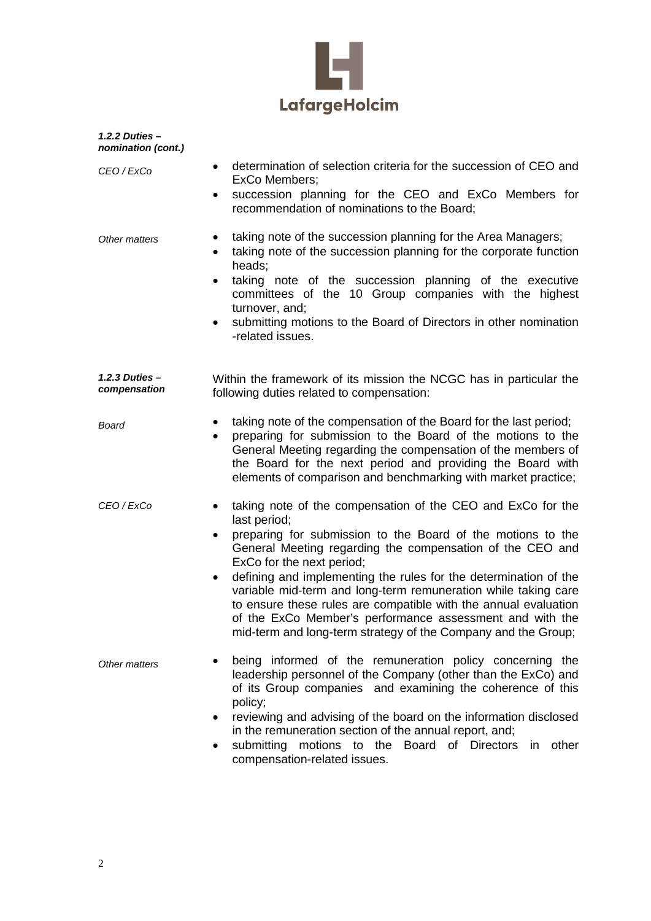

| 1.2.2 Duties $-$<br>nomination (cont.) |                                                                                                                                                                                                                                                                                                                                                                                                                                                                                                                                                                                         |
|----------------------------------------|-----------------------------------------------------------------------------------------------------------------------------------------------------------------------------------------------------------------------------------------------------------------------------------------------------------------------------------------------------------------------------------------------------------------------------------------------------------------------------------------------------------------------------------------------------------------------------------------|
| CEO / ExCo                             | determination of selection criteria for the succession of CEO and<br>$\bullet$<br>ExCo Members;<br>succession planning for the CEO and ExCo Members for<br>٠<br>recommendation of nominations to the Board;                                                                                                                                                                                                                                                                                                                                                                             |
| Other matters                          | taking note of the succession planning for the Area Managers;<br>٠<br>taking note of the succession planning for the corporate function<br>$\bullet$<br>heads;<br>taking note of the succession planning of the executive<br>$\bullet$<br>committees of the 10 Group companies with the highest<br>turnover, and;<br>submitting motions to the Board of Directors in other nomination<br>$\bullet$<br>-related issues.                                                                                                                                                                  |
| $1.2.3$ Duties $-$<br>compensation     | Within the framework of its mission the NCGC has in particular the<br>following duties related to compensation:                                                                                                                                                                                                                                                                                                                                                                                                                                                                         |
| Board                                  | taking note of the compensation of the Board for the last period;<br>$\bullet$<br>preparing for submission to the Board of the motions to the<br>$\bullet$<br>General Meeting regarding the compensation of the members of<br>the Board for the next period and providing the Board with<br>elements of comparison and benchmarking with market practice;                                                                                                                                                                                                                               |
| CEO / ExCo                             | taking note of the compensation of the CEO and ExCo for the<br>last period;<br>preparing for submission to the Board of the motions to the<br>General Meeting regarding the compensation of the CEO and<br>ExCo for the next period;<br>defining and implementing the rules for the determination of the<br>$\bullet$<br>variable mid-term and long-term remuneration while taking care<br>to ensure these rules are compatible with the annual evaluation<br>of the ExCo Member's performance assessment and with the<br>mid-term and long-term strategy of the Company and the Group; |
| Other matters                          | being informed of the remuneration policy concerning the<br>leadership personnel of the Company (other than the ExCo) and<br>of its Group companies and examining the coherence of this<br>policy;<br>reviewing and advising of the board on the information disclosed<br>٠<br>in the remuneration section of the annual report, and;<br>submitting motions to the Board of Directors in<br>other<br>compensation-related issues.                                                                                                                                                       |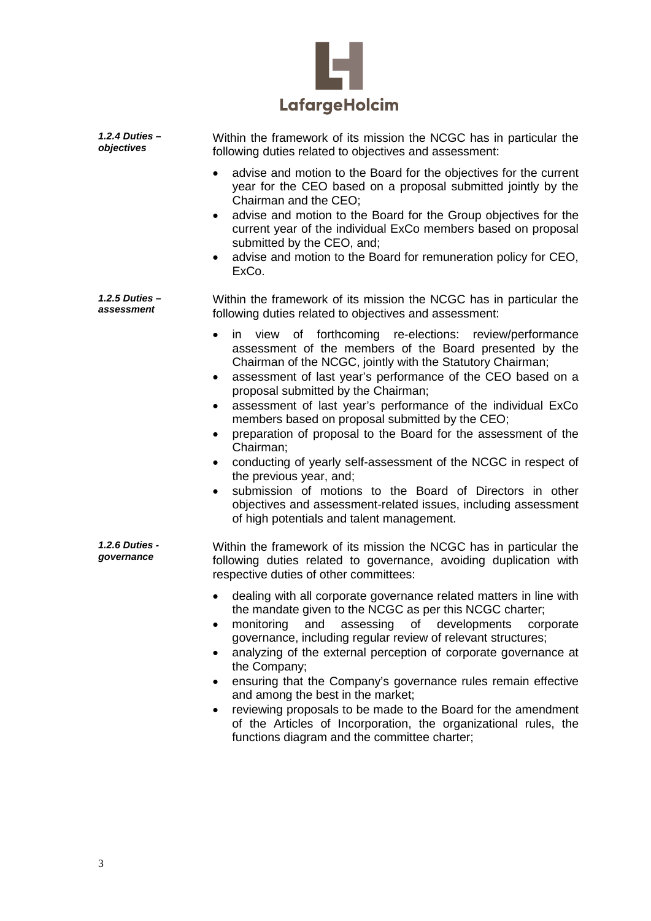

| 1.2.4 Duties -<br>objectives | Within the framework of its mission the NCGC has in particular the<br>following duties related to objectives and assessment:                                                                                                                                                                                                                                                                                                                                                                                                                                                                                                                                                                                                                                                            |
|------------------------------|-----------------------------------------------------------------------------------------------------------------------------------------------------------------------------------------------------------------------------------------------------------------------------------------------------------------------------------------------------------------------------------------------------------------------------------------------------------------------------------------------------------------------------------------------------------------------------------------------------------------------------------------------------------------------------------------------------------------------------------------------------------------------------------------|
|                              | advise and motion to the Board for the objectives for the current<br>year for the CEO based on a proposal submitted jointly by the<br>Chairman and the CEO;<br>advise and motion to the Board for the Group objectives for the<br>$\bullet$<br>current year of the individual ExCo members based on proposal<br>submitted by the CEO, and;<br>advise and motion to the Board for remuneration policy for CEO,                                                                                                                                                                                                                                                                                                                                                                           |
|                              | ExCo.                                                                                                                                                                                                                                                                                                                                                                                                                                                                                                                                                                                                                                                                                                                                                                                   |
| 1.2.5 Duties -<br>assessment | Within the framework of its mission the NCGC has in particular the<br>following duties related to objectives and assessment:                                                                                                                                                                                                                                                                                                                                                                                                                                                                                                                                                                                                                                                            |
|                              | in view of forthcoming re-elections: review/performance<br>assessment of the members of the Board presented by the<br>Chairman of the NCGC, jointly with the Statutory Chairman;<br>assessment of last year's performance of the CEO based on a<br>٠<br>proposal submitted by the Chairman;<br>assessment of last year's performance of the individual ExCo<br>٠<br>members based on proposal submitted by the CEO;<br>preparation of proposal to the Board for the assessment of the<br>Chairman;<br>conducting of yearly self-assessment of the NCGC in respect of<br>the previous year, and;<br>submission of motions to the Board of Directors in other<br>$\bullet$<br>objectives and assessment-related issues, including assessment<br>of high potentials and talent management. |
| 1.2.6 Duties -<br>governance | Within the framework of its mission the NCGC has in particular the<br>following duties related to governance, avoiding duplication with<br>respective duties of other committees:                                                                                                                                                                                                                                                                                                                                                                                                                                                                                                                                                                                                       |
|                              | dealing with all corporate governance related matters in line with<br>the mandate given to the NCGC as per this NCGC charter;<br>assessing<br>monitoring<br>of developments<br>and<br>corporate<br>governance, including regular review of relevant structures;<br>analyzing of the external perception of corporate governance at<br>the Company;<br>ensuring that the Company's governance rules remain effective<br>$\bullet$<br>and among the best in the market;<br>reviewing proposals to be made to the Board for the amendment<br>of the Articles of Incorporation, the organizational rules, the<br>functions diagram and the committee charter;                                                                                                                               |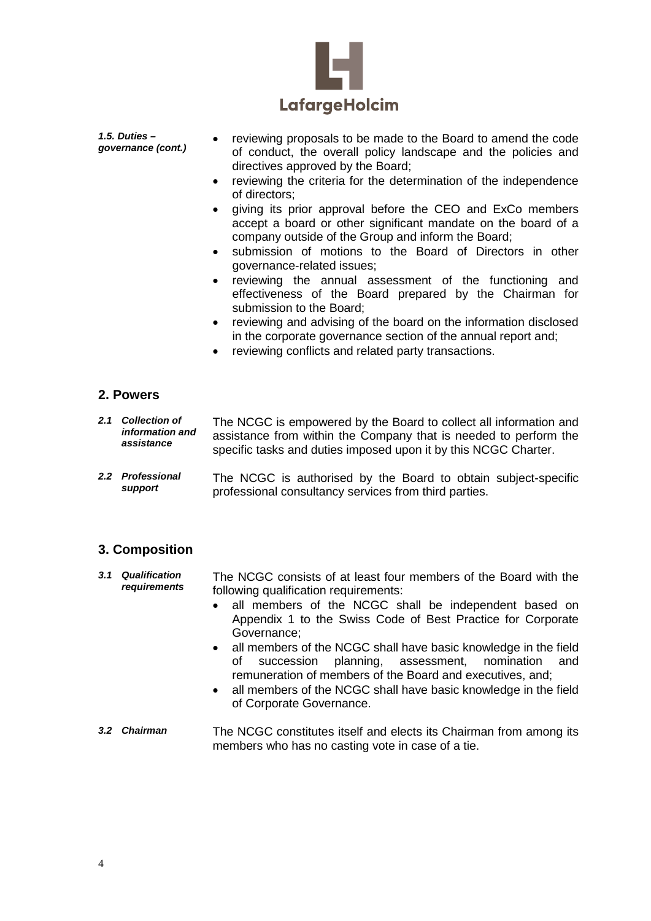

*1.5. Duties –*

- *governance* (cont.) reviewing proposals to be made to the Board to amend the code governance (cont.) of conduct, the overall policy landscape and the policies and directives approved by the Board;
	- reviewing the criteria for the determination of the independence of directors;
	- giving its prior approval before the CEO and ExCo members accept a board or other significant mandate on the board of a company outside of the Group and inform the Board;
	- submission of motions to the Board of Directors in other governance-related issues;
	- reviewing the annual assessment of the functioning and effectiveness of the Board prepared by the Chairman for submission to the Board;
	- reviewing and advising of the board on the information disclosed in the corporate governance section of the annual report and;
	- reviewing conflicts and related party transactions.

#### **2. Powers**

|  | 2.1 Collection of<br>information and<br>assistance | The NCGC is empowered by the Board to collect all information and<br>assistance from within the Company that is needed to perform the<br>specific tasks and duties imposed upon it by this NCGC Charter. |
|--|----------------------------------------------------|----------------------------------------------------------------------------------------------------------------------------------------------------------------------------------------------------------|
|--|----------------------------------------------------|----------------------------------------------------------------------------------------------------------------------------------------------------------------------------------------------------------|

*2.2 Professional support* The NCGC is authorised by the Board to obtain subject-specific professional consultancy services from third parties.

#### **3. Composition**

- *3.1 Qualification requirements* The NCGC consists of at least four members of the Board with the following qualification requirements:
	- all members of the NCGC shall be independent based on Appendix 1 to the Swiss Code of Best Practice for Corporate Governance;
	- all members of the NCGC shall have basic knowledge in the field of succession planning, assessment, nomination and remuneration of members of the Board and executives, and;
	- all members of the NCGC shall have basic knowledge in the field of Corporate Governance.
- *3.2 Chairman* The NCGC constitutes itself and elects its Chairman from among its members who has no casting vote in case of a tie.